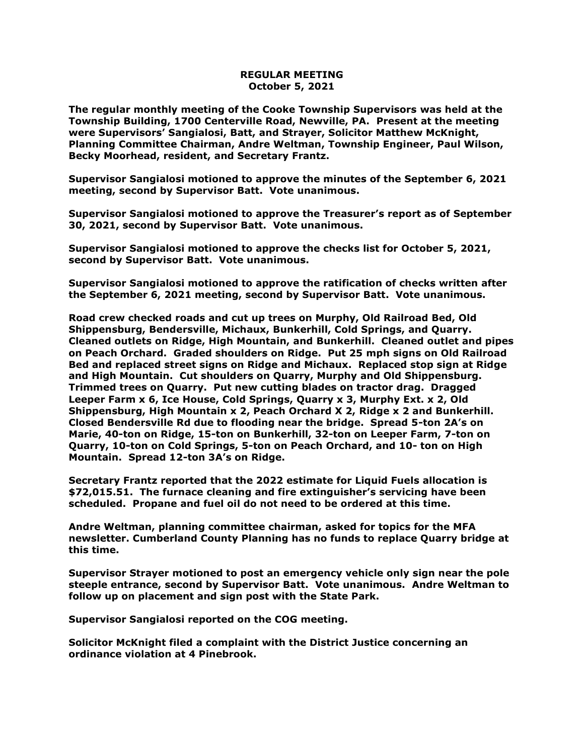## **REGULAR MEETING October 5, 2021**

**The regular monthly meeting of the Cooke Township Supervisors was held at the Township Building, 1700 Centerville Road, Newville, PA. Present at the meeting were Supervisors' Sangialosi, Batt, and Strayer, Solicitor Matthew McKnight, Planning Committee Chairman, Andre Weltman, Township Engineer, Paul Wilson, Becky Moorhead, resident, and Secretary Frantz.** 

**Supervisor Sangialosi motioned to approve the minutes of the September 6, 2021 meeting, second by Supervisor Batt. Vote unanimous.** 

**Supervisor Sangialosi motioned to approve the Treasurer's report as of September 30, 2021, second by Supervisor Batt. Vote unanimous.**

**Supervisor Sangialosi motioned to approve the checks list for October 5, 2021, second by Supervisor Batt. Vote unanimous.**

**Supervisor Sangialosi motioned to approve the ratification of checks written after the September 6, 2021 meeting, second by Supervisor Batt. Vote unanimous.**

**Road crew checked roads and cut up trees on Murphy, Old Railroad Bed, Old Shippensburg, Bendersville, Michaux, Bunkerhill, Cold Springs, and Quarry. Cleaned outlets on Ridge, High Mountain, and Bunkerhill. Cleaned outlet and pipes on Peach Orchard. Graded shoulders on Ridge. Put 25 mph signs on Old Railroad Bed and replaced street signs on Ridge and Michaux. Replaced stop sign at Ridge and High Mountain. Cut shoulders on Quarry, Murphy and Old Shippensburg. Trimmed trees on Quarry. Put new cutting blades on tractor drag. Dragged Leeper Farm x 6, Ice House, Cold Springs, Quarry x 3, Murphy Ext. x 2, Old Shippensburg, High Mountain x 2, Peach Orchard X 2, Ridge x 2 and Bunkerhill. Closed Bendersville Rd due to flooding near the bridge. Spread 5-ton 2A's on Marie, 40-ton on Ridge, 15-ton on Bunkerhill, 32-ton on Leeper Farm, 7-ton on Quarry, 10-ton on Cold Springs, 5-ton on Peach Orchard, and 10- ton on High Mountain. Spread 12-ton 3A's on Ridge.**

**Secretary Frantz reported that the 2022 estimate for Liquid Fuels allocation is \$72,015.51. The furnace cleaning and fire extinguisher's servicing have been scheduled. Propane and fuel oil do not need to be ordered at this time.**

**Andre Weltman, planning committee chairman, asked for topics for the MFA newsletter. Cumberland County Planning has no funds to replace Quarry bridge at this time.**

**Supervisor Strayer motioned to post an emergency vehicle only sign near the pole steeple entrance, second by Supervisor Batt. Vote unanimous. Andre Weltman to follow up on placement and sign post with the State Park.**

**Supervisor Sangialosi reported on the COG meeting.**

**Solicitor McKnight filed a complaint with the District Justice concerning an ordinance violation at 4 Pinebrook.**